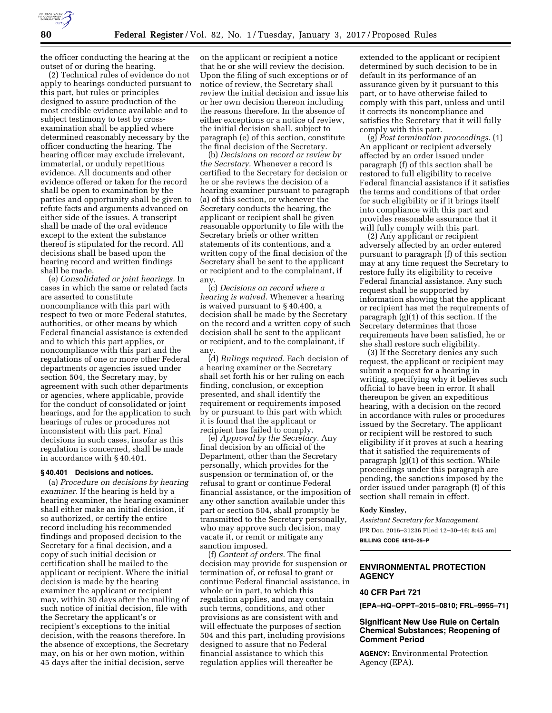

the officer conducting the hearing at the outset of or during the hearing.

(2) Technical rules of evidence do not apply to hearings conducted pursuant to this part, but rules or principles designed to assure production of the most credible evidence available and to subject testimony to test by crossexamination shall be applied where determined reasonably necessary by the officer conducting the hearing. The hearing officer may exclude irrelevant, immaterial, or unduly repetitious evidence. All documents and other evidence offered or taken for the record shall be open to examination by the parties and opportunity shall be given to refute facts and arguments advanced on either side of the issues. A transcript shall be made of the oral evidence except to the extent the substance thereof is stipulated for the record. All decisions shall be based upon the hearing record and written findings shall be made.

(e) *Consolidated or joint hearings.* In cases in which the same or related facts are asserted to constitute noncompliance with this part with respect to two or more Federal statutes, authorities, or other means by which Federal financial assistance is extended and to which this part applies, or noncompliance with this part and the regulations of one or more other Federal departments or agencies issued under section 504, the Secretary may, by agreement with such other departments or agencies, where applicable, provide for the conduct of consolidated or joint hearings, and for the application to such hearings of rules or procedures not inconsistent with this part. Final decisions in such cases, insofar as this regulation is concerned, shall be made in accordance with § 40.401.

## **§ 40.401 Decisions and notices.**

(a) *Procedure on decisions by hearing examiner.* If the hearing is held by a hearing examiner, the hearing examiner shall either make an initial decision, if so authorized, or certify the entire record including his recommended findings and proposed decision to the Secretary for a final decision, and a copy of such initial decision or certification shall be mailed to the applicant or recipient. Where the initial decision is made by the hearing examiner the applicant or recipient may, within 30 days after the mailing of such notice of initial decision, file with the Secretary the applicant's or recipient's exceptions to the initial decision, with the reasons therefore. In the absence of exceptions, the Secretary may, on his or her own motion, within 45 days after the initial decision, serve

on the applicant or recipient a notice that he or she will review the decision. Upon the filing of such exceptions or of notice of review, the Secretary shall review the initial decision and issue his or her own decision thereon including the reasons therefore. In the absence of either exceptions or a notice of review, the initial decision shall, subject to paragraph (e) of this section, constitute the final decision of the Secretary.

(b) *Decisions on record or review by the Secretary.* Whenever a record is certified to the Secretary for decision or he or she reviews the decision of a hearing examiner pursuant to paragraph (a) of this section, or whenever the Secretary conducts the hearing, the applicant or recipient shall be given reasonable opportunity to file with the Secretary briefs or other written statements of its contentions, and a written copy of the final decision of the Secretary shall be sent to the applicant or recipient and to the complainant, if any.

(c) *Decisions on record where a hearing is waived.* Whenever a hearing is waived pursuant to § 40.400, a decision shall be made by the Secretary on the record and a written copy of such decision shall be sent to the applicant or recipient, and to the complainant, if any.

(d) *Rulings required.* Each decision of a hearing examiner or the Secretary shall set forth his or her ruling on each finding, conclusion, or exception presented, and shall identify the requirement or requirements imposed by or pursuant to this part with which it is found that the applicant or recipient has failed to comply.

(e) *Approval by the Secretary.* Any final decision by an official of the Department, other than the Secretary personally, which provides for the suspension or termination of, or the refusal to grant or continue Federal financial assistance, or the imposition of any other sanction available under this part or section 504, shall promptly be transmitted to the Secretary personally, who may approve such decision, may vacate it, or remit or mitigate any sanction imposed.

(f) *Content of orders.* The final decision may provide for suspension or termination of, or refusal to grant or continue Federal financial assistance, in whole or in part, to which this regulation applies, and may contain such terms, conditions, and other provisions as are consistent with and will effectuate the purposes of section 504 and this part, including provisions designed to assure that no Federal financial assistance to which this regulation applies will thereafter be

extended to the applicant or recipient determined by such decision to be in default in its performance of an assurance given by it pursuant to this part, or to have otherwise failed to comply with this part, unless and until it corrects its noncompliance and satisfies the Secretary that it will fully comply with this part.

(g) *Post termination proceedings.* (1) An applicant or recipient adversely affected by an order issued under paragraph (f) of this section shall be restored to full eligibility to receive Federal financial assistance if it satisfies the terms and conditions of that order for such eligibility or if it brings itself into compliance with this part and provides reasonable assurance that it will fully comply with this part.

(2) Any applicant or recipient adversely affected by an order entered pursuant to paragraph (f) of this section may at any time request the Secretary to restore fully its eligibility to receive Federal financial assistance. Any such request shall be supported by information showing that the applicant or recipient has met the requirements of paragraph (g)(1) of this section. If the Secretary determines that those requirements have been satisfied, he or she shall restore such eligibility.

(3) If the Secretary denies any such request, the applicant or recipient may submit a request for a hearing in writing, specifying why it believes such official to have been in error. It shall thereupon be given an expeditious hearing, with a decision on the record in accordance with rules or procedures issued by the Secretary. The applicant or recipient will be restored to such eligibility if it proves at such a hearing that it satisfied the requirements of paragraph (g)(1) of this section. While proceedings under this paragraph are pending, the sanctions imposed by the order issued under paragraph (f) of this section shall remain in effect.

#### **Kody Kinsley,**

*Assistant Secretary for Management.*  [FR Doc. 2016–31236 Filed 12–30–16; 8:45 am] **BILLING CODE 4810–25–P** 

## **ENVIRONMENTAL PROTECTION AGENCY**

## **40 CFR Part 721**

**[EPA–HQ–OPPT–2015–0810; FRL–9955–71]** 

## **Significant New Use Rule on Certain Chemical Substances; Reopening of Comment Period**

**AGENCY:** Environmental Protection Agency (EPA).